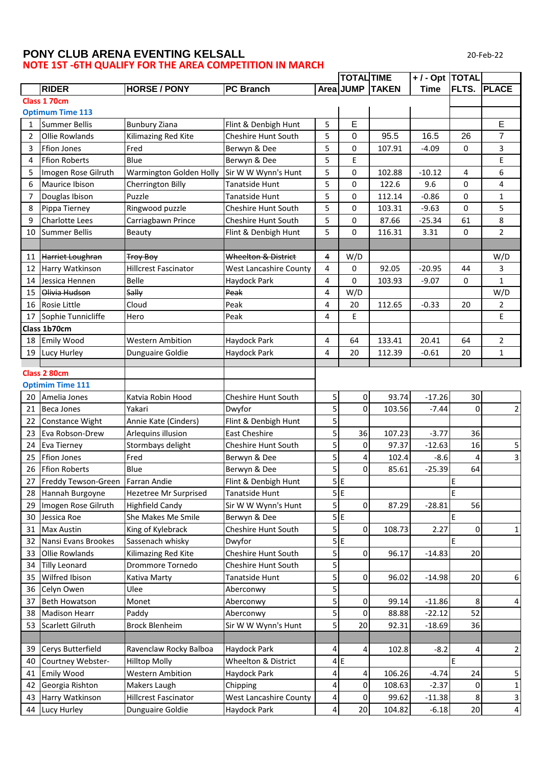## **PONY CLUB ARENA EVENTING KELSALL NOTE 1ST -6TH QUALIFY FOR THE AREA COMPETITION IN MARCH**

20-Feb-22

|                |                                     |                             |                               |                | TOTAL TIME |                 | +/- Opt  TOTAL |                |                |
|----------------|-------------------------------------|-----------------------------|-------------------------------|----------------|------------|-----------------|----------------|----------------|----------------|
|                | <b>RIDER</b>                        | <b>HORSE / PONY</b>         | <b>PC Branch</b>              |                |            | Area JUMP TAKEN | <b>Time</b>    | <b>FLTS.</b>   | <b>PLACE</b>   |
| Class 1 70cm   |                                     |                             |                               |                |            |                 |                |                |                |
|                | <b>Optimum Time 113</b>             |                             |                               |                |            |                 |                |                |                |
| 1              | <b>Summer Bellis</b>                | <b>Bunbury Ziana</b>        | Flint & Denbigh Hunt          | 5              | E          |                 |                |                | E              |
| $\overline{2}$ | <b>Ollie Rowlands</b>               | Kilimazing Red Kite         | Cheshire Hunt South           | 5              | 0          | 95.5            | 16.5           | 26             | $\overline{7}$ |
| 3              | <b>Ffion Jones</b>                  | Fred                        | Berwyn & Dee                  | 5              | 0          | 107.91          | $-4.09$        | 0              | 3              |
| 4              | <b>Ffion Roberts</b>                | Blue                        | Berwyn & Dee                  | 5              | E          |                 |                |                | E              |
| 5              | Imogen Rose Gilruth                 | Warmington Golden Holly     | Sir W W Wynn's Hunt           | 5              | 0          | 102.88          | $-10.12$       | 4              | 6              |
| 6              | Maurice Ibison                      | Cherrington Billy           | Tanatside Hunt                | 5              | 0          | 122.6           | 9.6            | 0              | 4              |
| 7              | Douglas Ibison                      | Puzzle                      | <b>Tanatside Hunt</b>         | 5              | 0          | 112.14          | $-0.86$        | 0              | $\mathbf{1}$   |
| 8              | Pippa Tierney                       | Ringwood puzzle             | Cheshire Hunt South           | 5              | 0          | 103.31          | $-9.63$        | 0              | 5              |
| 9              | <b>Charlotte Lees</b>               | Carriagbawn Prince          | <b>Cheshire Hunt South</b>    | 5              | 0          | 87.66           | $-25.34$       | 61             | 8              |
| 10             | <b>Summer Bellis</b>                | Beauty                      | Flint & Denbigh Hunt          | 5              | 0          | 116.31          | 3.31           | 0              | $\overline{2}$ |
|                |                                     |                             |                               |                |            |                 |                |                |                |
| 11             | Harriet Loughran                    | <b>Troy Boy</b>             | Wheelton & District           | 4              | W/D        |                 |                |                | W/D            |
| 12             | Harry Watkinson                     | <b>Hillcrest Fascinator</b> | <b>West Lancashire County</b> | 4              | 0          | 92.05           | $-20.95$       | 44             | 3              |
| 14             | Jessica Hennen                      | Belle                       | Haydock Park                  | 4              | 0          | 103.93          | $-9.07$        | 0              | $\mathbf{1}$   |
| 15             | Olivia Hudson                       | Sally                       | Peak                          | 4              | W/D        |                 |                |                | W/D            |
| 16             | <b>Rosie Little</b>                 | Cloud                       | Peak                          | 4              | 20         | 112.65          | $-0.33$        | 20             | $\overline{2}$ |
| 17             | Sophie Tunnicliffe                  | Hero                        | Peak                          | 4              | E          |                 |                |                | E.             |
|                | Class 1b70cm                        |                             |                               |                |            |                 |                |                |                |
|                | 18 Emily Wood                       | <b>Western Ambition</b>     | Haydock Park                  | 4              | 64         | 133.41          | 20.41          | 64             | $\overline{2}$ |
|                | 19 Lucy Hurley                      | Dunguaire Goldie            | Haydock Park                  | 4              | 20         | 112.39          | $-0.61$        | 20             | $\mathbf{1}$   |
|                |                                     |                             |                               |                |            |                 |                |                |                |
|                | Class 2 80cm                        |                             |                               |                |            |                 |                |                |                |
|                | <b>Optimim Time 111</b>             |                             |                               |                |            |                 |                |                |                |
| 20             | Amelia Jones                        | Katvia Robin Hood           | Cheshire Hunt South           | 5              | 0          | 93.74           | $-17.26$       | 30             |                |
| 21             | <b>Beca Jones</b>                   | Yakari                      | Dwyfor                        | 5              | 0          | 103.56          | $-7.44$        | $\Omega$       | $\overline{2}$ |
| 22             | Constance Wight                     | Annie Kate (Cinders)        | Flint & Denbigh Hunt          | 5              |            |                 |                |                |                |
| 23             | Eva Robson-Drew                     | Arlequins illusion          | <b>East Cheshire</b>          | 5              | 36         | 107.23          | $-3.77$        | 36             |                |
| 24             | <b>Eva Tierney</b>                  | Stormbays delight           | Cheshire Hunt South           | 5              | 0          | 97.37           | $-12.63$       | 16             | 5              |
| 25             | <b>Ffion Jones</b>                  | Fred                        | Berwyn & Dee                  | 5              | 4          | 102.4           | $-8.6$         | 4              | $\mathbf{3}$   |
| 26             | <b>Ffion Roberts</b>                | Blue                        | Berwyn & Dee                  | 5              | 0          | 85.61           | $-25.39$       | 64             |                |
|                | 27 Freddy Tewson-Green Farran Andie |                             | Flint & Denbigh Hunt          |                | 5E         |                 |                | E              |                |
|                | 28 Hannah Burgoyne                  | Hezetree Mr Surprised       | <b>Tanatside Hunt</b>         |                | 5E         |                 |                | E              |                |
| 29             | Imogen Rose Gilruth                 | <b>Highfield Candy</b>      | Sir W W Wynn's Hunt           | $\overline{5}$ | 0          | 87.29           | $-28.81$       | 56             |                |
| 30             | Jessica Roe                         | She Makes Me Smile          | Berwyn & Dee                  |                | 5E         |                 |                | E              |                |
| 31             | <b>Max Austin</b>                   | King of Kylebrack           | Cheshire Hunt South           | $\overline{5}$ | 0          | 108.73          | 2.27           | $\overline{0}$ | 1              |
| 32             | Nansi Evans Brookes                 | Sassenach whisky            | Dwyfor                        |                | 5E         |                 |                | E              |                |
| 33             | Ollie Rowlands                      | Kilimazing Red Kite         | Cheshire Hunt South           | 5              | 0          | 96.17           | $-14.83$       | 20             |                |
| 34             | <b>Tilly Leonard</b>                | Drommore Tornedo            | Cheshire Hunt South           | 5              |            |                 |                |                |                |
| 35             | Wilfred Ibison                      | Kativa Marty                | Tanatside Hunt                | 5              | 0          | 96.02           | $-14.98$       | 20             | 6              |
| 36             | Celyn Owen                          | Ulee                        | Aberconwy                     | 5              |            |                 |                |                |                |
| 37             | <b>Beth Howatson</b>                | Monet                       | Aberconwy                     | 5              | 0          | 99.14           | $-11.86$       | 8              | 4              |
| 38             | <b>Madison Hearr</b>                | Paddy                       | Aberconwy                     | 5              | 0          | 88.88           | $-22.12$       | 52             |                |
| 53             | Scarlett Gilruth                    | <b>Brock Blenheim</b>       | Sir W W Wynn's Hunt           | 5              | 20         | 92.31           | $-18.69$       | 36             |                |
|                |                                     |                             |                               |                |            |                 |                |                |                |
| 39             | Cerys Butterfield                   | Ravenclaw Rocky Balboa      | Haydock Park                  | 4              | 4          | 102.8           | $-8.2$         | $\overline{4}$ | $\overline{2}$ |
| 40             | Courtney Webster-                   | <b>Hilltop Molly</b>        | Wheelton & District           |                | 4E         |                 |                | E              |                |
| 41             | <b>Emily Wood</b>                   | <b>Western Ambition</b>     | Haydock Park                  | 4              | 4          | 106.26          | $-4.74$        | 24             | 5              |
| 42             | Georgia Rishton                     | Makers Laugh                | Chipping                      | 4              | 0          | 108.63          | $-2.37$        | $\overline{0}$ | $\mathbf{1}$   |
| 43             | Harry Watkinson                     | <b>Hillcrest Fascinator</b> | <b>West Lancashire County</b> | 4              | 0          | 99.62           | $-11.38$       | 8              | $\overline{3}$ |
|                | 44 Lucy Hurley                      | Dunguaire Goldie            | Haydock Park                  | 4              | 20         | 104.82          | $-6.18$        | 20             | $\overline{4}$ |